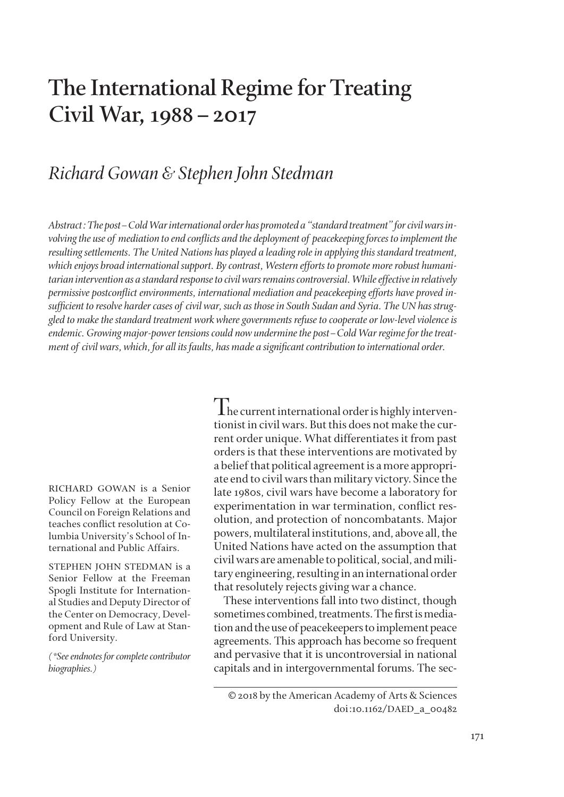## **The International Regime for Treating Civil War, 1988–2017**

## *Richard Gowan & Stephen John Stedman*

*Abstract: The post–Cold War international order has promoted a "standard treatment" for civil wars involving the use of mediation to end conflicts and the deployment of peacekeeping forces to implement the resulting settlements. The United Nations has played a leading role in applying this standard treatment, which enjoys broad international support. By contrast, Western efforts to promote more robust humanitarian intervention as a standard response to civil wars remains controversial. While effective in relatively permissive postconflict environments, international mediation and peacekeeping efforts have proved insufficient to resolve harder cases of civil war, such as those in South Sudan and Syria. The UN has struggled to make the standard treatment work where governments refuse to cooperate or low-level violence is endemic. Growing major-power tensions could now undermine the post–Cold War regime for the treatment of civil wars, which, for all its faults, has made a significant contribution to international order.* 

RICHARD GOWAN is a Senior Policy Fellow at the European Council on Foreign Relations and teaches conflict resolution at Columbia University's School of International and Public Affairs.

STEPHEN JOHN STEDMAN is a Senior Fellow at the Freeman Spogli Institute for International Studies and Deputy Director of the Center on Democracy, Development and Rule of Law at Stanford University.

*(\*See endnotes for complete contributor biographies.)*

 $\prod$ he current international order is highly interventionist in civil wars. But this does not make the current order unique. What differentiates it from past orders is that these interventions are motivated by a belief that political agreement is a more appropriate end to civil wars than military victory. Since the late 1980s, civil wars have become a laboratory for experimentation in war termination, conflict resolution, and protection of noncombatants. Major powers, multilateral institutions, and, above all, the United Nations have acted on the assumption that civil wars are amenable to political, social, and military engineering, resulting in an international order that resolutely rejects giving war a chance.

These interventions fall into two distinct, though sometimes combined, treatments. The first is mediation and the use of peacekeepers to implement peace agreements. This approach has become so frequent and pervasive that it is uncontroversial in national capitals and in intergovernmental forums. The sec-

© 2018 by the American Academy of Arts & Sciences doi:10.1162/DAED\_a\_00482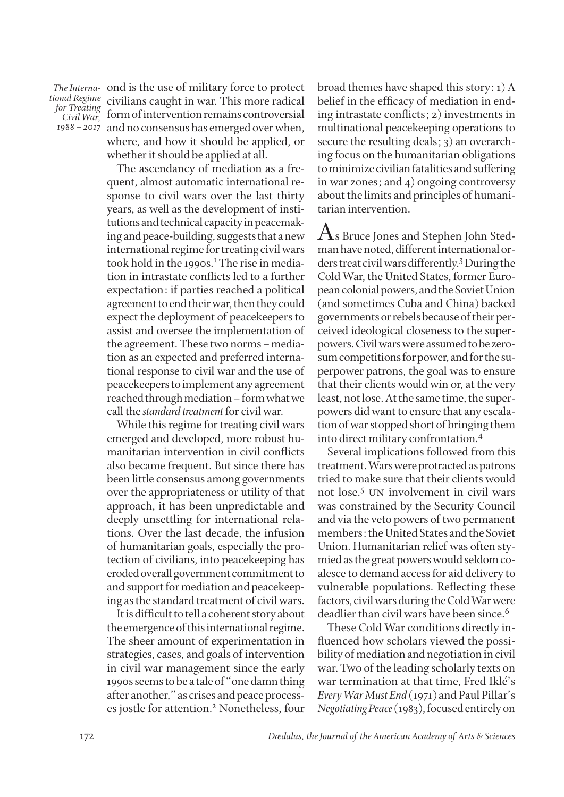*for Treating Civil War,* 

*The Interna-*ond is the use of military force to protect *tional Regime*  civilians caught in war. This more radical *1988–2017* and no consensus has emerged over when, form of intervention remains controversial where, and how it should be applied, or whether it should be applied at all.

> The ascendancy of mediation as a frequent, almost automatic international response to civil wars over the last thirty years, as well as the development of institutions and technical capacity in peacemaking and peace-building, suggests that a new international regime for treating civil wars took hold in the 1990s.<sup>1</sup> The rise in mediation in intrastate conflicts led to a further expectation: if parties reached a political agreement to end their war, then they could expect the deployment of peacekeepers to assist and oversee the implementation of the agreement. These two norms–mediation as an expected and preferred international response to civil war and the use of peacekeepers to implement any agreement reached through mediation–form what we call the *standard treatment* for civil war.

> While this regime for treating civil wars emerged and developed, more robust humanitarian intervention in civil conflicts also became frequent. But since there has been little consensus among governments over the appropriateness or utility of that approach, it has been unpredictable and deeply unsettling for international relations. Over the last decade, the infusion of humanitarian goals, especially the protection of civilians, into peacekeeping has eroded overall government commitment to and support for mediation and peacekeeping as the standard treatment of civil wars.

> It is difficult to tell a coherent story about the emergence of this international regime. The sheer amount of experimentation in strategies, cases, and goals of intervention in civil war management since the early 1990s seems to be a tale of "one damn thing after another," as crises and peace processes jostle for attention.<sup>2</sup> Nonetheless, four

broad themes have shaped this story: 1) A belief in the efficacy of mediation in ending intrastate conflicts; 2) investments in multinational peacekeeping operations to secure the resulting deals; 3) an overarching focus on the humanitarian obligations to minimize civilian fatalities and suffering in war zones; and 4) ongoing controversy about the limits and principles of humanitarian intervention.

 $A$ s Bruce Jones and Stephen John Stedman have noted, different international orders treat civil wars differently.3 During the Cold War, the United States, former European colonial powers, and the Soviet Union (and sometimes Cuba and China) backed governments or rebels because of their perceived ideological closeness to the superpowers. Civil wars were assumed to be zerosum competitions for power, and for the superpower patrons, the goal was to ensure that their clients would win or, at the very least, not lose. At the same time, the superpowers did want to ensure that any escalation of war stopped short of bringing them into direct military confrontation.4

Several implications followed from this treatment. Wars were protracted as patrons tried to make sure that their clients would not lose.5 un involvement in civil wars was constrained by the Security Council and via the veto powers of two permanent members: the United States and the Soviet Union. Humanitarian relief was often stymied as the great powers would seldom coalesce to demand access for aid delivery to vulnerable populations. Reflecting these factors, civil wars during the Cold War were deadlier than civil wars have been since.<sup>6</sup>

These Cold War conditions directly influenced how scholars viewed the possibility of mediation and negotiation in civil war. Two of the leading scholarly texts on war termination at that time, Fred Iklé's *Every War Must End* (1971) and Paul Pillar's *Negotiating Peace* (1983), focused entirely on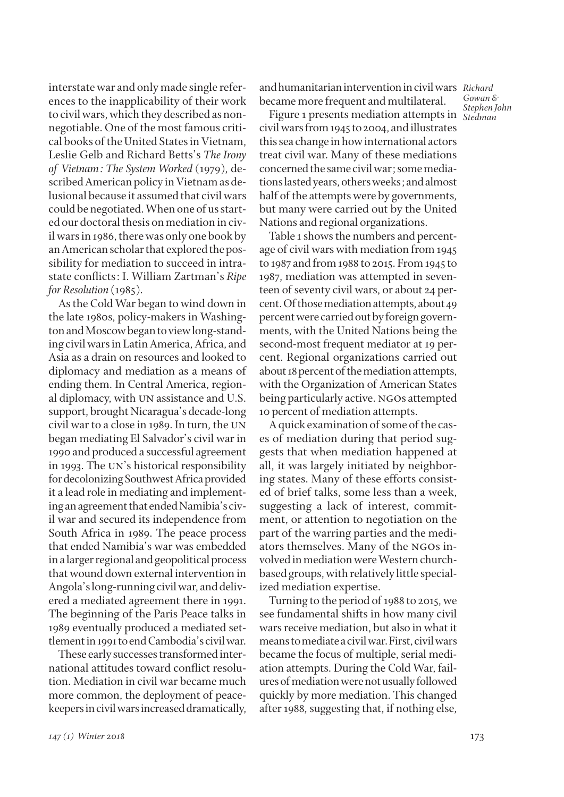interstate war and only made single references to the inapplicability of their work to civil wars, which they described as nonnegotiable. One of the most famous critical books of the United States in Vietnam, Leslie Gelb and Richard Betts's *The Irony of Vietnam: The System Worked* (1979), described American policy in Vietnam as delusional because it assumed that civil wars could be negotiated. When one of us started our doctoral thesis on mediation in civil wars in 1986, there was only one book by an American scholar that explored the possibility for mediation to succeed in intrastate conflicts: I. William Zartman's *Ripe for Resolution* (1985).

As the Cold War began to wind down in the late 1980s, policy-makers in Washington and Moscow began to view long-standing civil wars in Latin America, Africa, and Asia as a drain on resources and looked to diplomacy and mediation as a means of ending them. In Central America, regional diplomacy, with un assistance and U.S. support, brought Nicaragua's decade-long civil war to a close in 1989. In turn, the un began mediating El Salvador's civil war in 1990 and produced a successful agreement in 1993. The un's historical responsibility for decolonizing Southwest Africa provided it a lead role in mediating and implementing an agreement that ended Namibia's civil war and secured its independence from South Africa in 1989. The peace process that ended Namibia's war was embedded in a larger regional and geopolitical process that wound down external intervention in Angola's long-running civil war, and delivered a mediated agreement there in 1991. The beginning of the Paris Peace talks in 1989 eventually produced a mediated settlement in 1991 to end Cambodia's civil war.

These early successes transformed international attitudes toward conflict resolution. Mediation in civil war became much more common, the deployment of peacekeepers in civil wars increased dramatically,

and humanitarian intervention in civil wars Richard became more frequent and multilateral.

Figure 1 presents mediation attempts in civil wars from 1945 to 2004, and illustrates this sea change in how international actors treat civil war. Many of these mediations concerned the same civil war; some mediations lasted years, others weeks; and almost half of the attempts were by governments, but many were carried out by the United Nations and regional organizations.

Table 1 shows the numbers and percentage of civil wars with mediation from 1945 to 1987 and from 1988 to 2015. From 1945 to 1987, mediation was attempted in seventeen of seventy civil wars, or about 24 percent. Of those mediation attempts, about 49 percent were carried out by foreign governments, with the United Nations being the second-most frequent mediator at 19 percent. Regional organizations carried out about 18 percent of the mediation attempts, with the Organization of American States being particularly active. ngos attempted 10 percent of mediation attempts.

A quick examination of some of the cases of mediation during that period suggests that when mediation happened at all, it was largely initiated by neighboring states. Many of these efforts consisted of brief talks, some less than a week, suggesting a lack of interest, commitment, or attention to negotiation on the part of the warring parties and the mediators themselves. Many of the ngos involved in mediation were Western churchbased groups, with relatively little specialized mediation expertise.

Turning to the period of 1988 to 2015, we see fundamental shifts in how many civil wars receive mediation, but also in what it means to mediate a civil war. First, civil wars became the focus of multiple, serial mediation attempts. During the Cold War, failures of mediation were not usually followed quickly by more mediation. This changed after 1988, suggesting that, if nothing else,

*Gowan & Stephen John Stedman*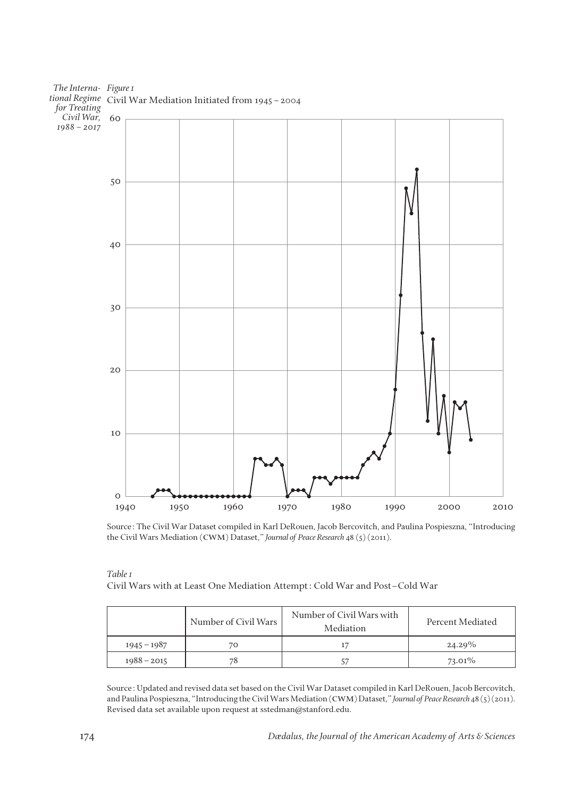

Source: The Civil War Dataset compiled in Karl DeRouen, Jacob Bercovitch, and Paulina Pospieszna, "Introducing the Civil Wars Mediation (cwm) Dataset," *Journal of Peace Research* 48 (5) (2011).

| Table 1                                                                    |  |
|----------------------------------------------------------------------------|--|
| Civil Wars with at Least One Mediation Attempt: Cold War and Post-Cold War |  |

|               | Number of Civil Wars | Number of Civil Wars with<br>Mediation | Percent Mediated |
|---------------|----------------------|----------------------------------------|------------------|
| $1945 - 1987$ | 70.                  |                                        | $24.29\%$        |
| $1988 - 2015$ | 78                   |                                        | 73.01%           |

Source: Updated and revised data set based on the Civil War Dataset compiled in Karl DeRouen, Jacob Bercovitch, and Paulina Pospieszna, "Introducing the Civil Wars Mediation (cwm) Dataset," *Journal of Peace Research* 48 (5) (2011). Revised data set available upon request at sstedman@stanford.edu.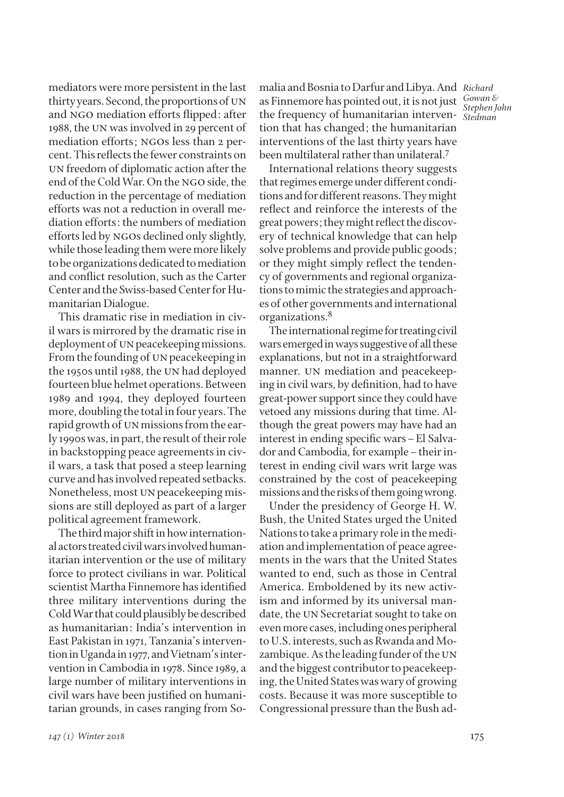mediators were more persistent in the last thirty years. Second, the proportions of un and NGO mediation efforts flipped: after 1988, the un was involved in 29 percent of mediation efforts; ngos less than 2 percent. This reflects the fewer constraints on un freedom of diplomatic action after the end of the Cold War. On the ngo side, the reduction in the percentage of mediation efforts was not a reduction in overall mediation efforts: the numbers of mediation efforts led by ngos declined only slightly, while those leading them were more likely to be organizations dedicated to mediation and conflict resolution, such as the Carter Center and the Swiss-based Center for Humanitarian Dialogue.

This dramatic rise in mediation in civil wars is mirrored by the dramatic rise in deployment of un peacekeeping missions. From the founding of un peacekeeping in the 1950s until 1988, the un had deployed fourteen blue helmet operations. Between 1989 and 1994, they deployed fourteen more, doubling the total in four years. The rapid growth of un missions from the early 1990s was, in part, the result of their role in backstopping peace agreements in civil wars, a task that posed a steep learning curve and has involved repeated setbacks. Nonetheless, most un peacekeeping missions are still deployed as part of a larger political agreement framework.

The third major shift in how international actors treated civil wars involved humanitarian intervention or the use of military force to protect civilians in war. Political scientist Martha Finnemore has identified three military interventions during the Cold War that could plausibly be described as humanitarian: India's intervention in East Pakistan in 1971, Tanzania's intervention in Uganda in 1977, and Vietnam's intervention in Cambodia in 1978. Since 1989, a large number of military interventions in civil wars have been justified on humanitarian grounds, in cases ranging from So-

*Richard*  malia and Bosnia to Darfur and Libya. And *Gowan &*  as Finnemore has pointed out, it is not just the frequency of humanitarian interven- Stedman tion that has changed; the humanitarian interventions of the last thirty years have been multilateral rather than unilateral.7

International relations theory suggests that regimes emerge under different conditions and for different reasons. They might reflect and reinforce the interests of the great powers; they might reflect the discovery of technical knowledge that can help solve problems and provide public goods; or they might simply reflect the tendency of governments and regional organizations to mimic the strategies and approaches of other governments and international organizations.8

The international regime for treating civil wars emerged in ways suggestive of all these explanations, but not in a straightforward manner. un mediation and peacekeeping in civil wars, by definition, had to have great-power support since they could have vetoed any missions during that time. Although the great powers may have had an interest in ending specific wars–El Salvador and Cambodia, for example–their interest in ending civil wars writ large was constrained by the cost of peacekeeping missions and the risks of them going wrong.

Under the presidency of George H. W. Bush, the United States urged the United Nations to take a primary role in the mediation and implementation of peace agreements in the wars that the United States wanted to end, such as those in Central America. Emboldened by its new activism and informed by its universal mandate, the un Secretariat sought to take on even more cases, including ones peripheral to U.S. interests, such as Rwanda and Mozambique. As the leading funder of the un and the biggest contributor to peacekeeping, the United States was wary of growing costs. Because it was more susceptible to Congressional pressure than the Bush ad-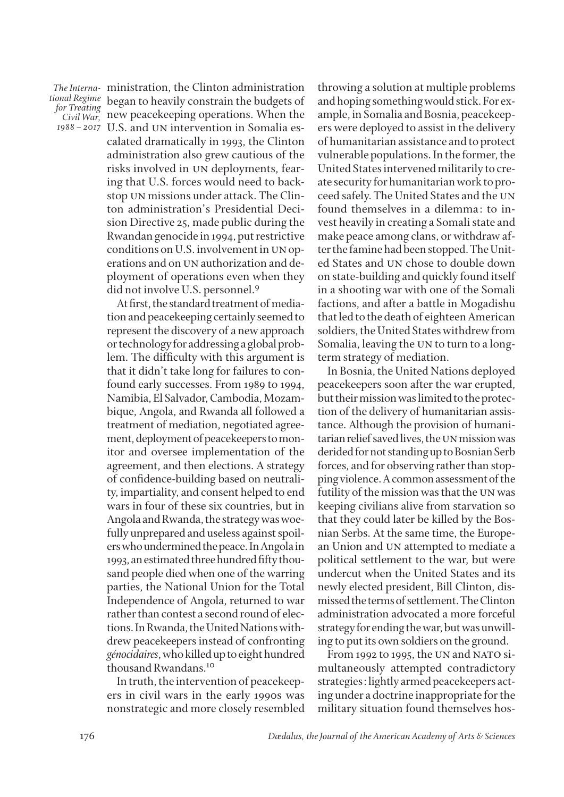*tional Regime for Treating Civil War,* 

*The Interna-*ministration, the Clinton administration *1988–2017* U.S. and un intervention in Somalia esbegan to heavily constrain the budgets of new peacekeeping operations. When the calated dramatically in 1993, the Clinton administration also grew cautious of the risks involved in un deployments, fearing that U.S. forces would need to backstop un missions under attack. The Clinton administration's Presidential Decision Directive 25, made public during the Rwandan genocide in 1994, put restrictive conditions on U.S. involvement in un operations and on un authorization and deployment of operations even when they did not involve U.S. personnel.9

> At first, the standard treatment of mediation and peacekeeping certainly seemed to represent the discovery of a new approach or technology for addressing a global problem. The difficulty with this argument is that it didn't take long for failures to confound early successes. From 1989 to 1994, Namibia, El Salvador, Cambodia, Mozambique, Angola, and Rwanda all followed a treatment of mediation, negotiated agreement, deployment of peacekeepers to monitor and oversee implementation of the agreement, and then elections. A strategy of confidence-building based on neutrality, impartiality, and consent helped to end wars in four of these six countries, but in Angola and Rwanda, the strategy was woefully unprepared and useless against spoilers who undermined the peace. In Angola in 1993, an estimated three hundred fifty thousand people died when one of the warring parties, the National Union for the Total Independence of Angola, returned to war rather than contest a second round of elections. In Rwanda, the United Nations withdrew peacekeepers instead of confronting *génocidaires*, who killed up to eight hundred thousand Rwandans.10

> In truth, the intervention of peacekeepers in civil wars in the early 1990s was nonstrategic and more closely resembled

throwing a solution at multiple problems and hoping something would stick. For example, in Somalia and Bosnia, peacekeepers were deployed to assist in the delivery of humanitarian assistance and to protect vulnerable populations. In the former, the United States intervened militarily to create security for humanitarian work to proceed safely. The United States and the un found themselves in a dilemma: to invest heavily in creating a Somali state and make peace among clans, or withdraw after the famine had been stopped. The United States and un chose to double down on state-building and quickly found itself in a shooting war with one of the Somali factions, and after a battle in Mogadishu that led to the death of eighteen American soldiers, the United States withdrew from Somalia, leaving the UN to turn to a longterm strategy of mediation.

In Bosnia, the United Nations deployed peacekeepers soon after the war erupted, but their mission was limited to the protection of the delivery of humanitarian assistance. Although the provision of humanitarian relief saved lives, the un mission was derided for not standing up to Bosnian Serb forces, and for observing rather than stopping violence. A common assessment of the futility of the mission was that the un was keeping civilians alive from starvation so that they could later be killed by the Bosnian Serbs. At the same time, the European Union and un attempted to mediate a political settlement to the war, but were undercut when the United States and its newly elected president, Bill Clinton, dismissed the terms of settlement. The Clinton administration advocated a more forceful strategy for ending the war, but was unwilling to put its own soldiers on the ground.

From 1992 to 1995, the UN and NATO simultaneously attempted contradictory strategies: lightly armed peacekeepers acting under a doctrine inappropriate for the military situation found themselves hos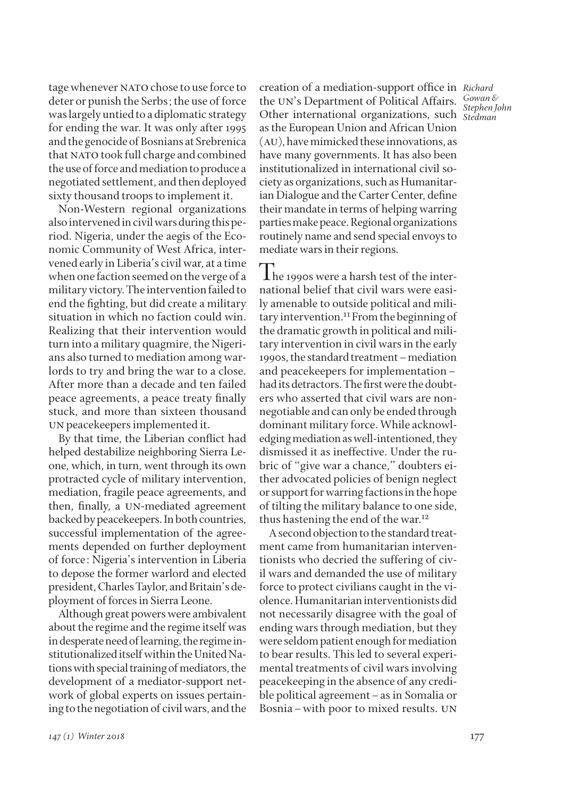tage whenever NATO chose to use force to deter or punish the Serbs; the use of force was largely untied to a diplomatic strategy for ending the war. It was only after 1995 and the genocide of Bosnians at Srebrenica that NATO took full charge and combined the use of force and mediation to produce a negotiated settlement, and then deployed sixty thousand troops to implement it.

Non-Western regional organizations also intervened in civil wars during this period. Nigeria, under the aegis of the Economic Community of West Africa, intervened early in Liberia's civil war, at a time when one faction seemed on the verge of a military victory. The intervention failed to end the fighting, but did create a military situation in which no faction could win. Realizing that their intervention would turn into a military quagmire, the Nigerians also turned to mediation among warlords to try and bring the war to a close. After more than a decade and ten failed peace agreements, a peace treaty finally stuck, and more than sixteen thousand un peacekeepers implemented it.

By that time, the Liberian conflict had helped destabilize neighboring Sierra Leone, which, in turn, went through its own protracted cycle of military intervention, mediation, fragile peace agreements, and then, finally, a un-mediated agreement backed by peacekeepers. In both countries, successful implementation of the agreements depended on further deployment of force: Nigeria's intervention in Liberia to depose the former warlord and elected president, Charles Taylor, and Britain's deployment of forces in Sierra Leone.

Although great powers were ambivalent about the regime and the regime itself was in desperate need of learning, the regime institutionalized itself within the United Nations with special training of mediators, the development of a mediator-support network of global experts on issues pertaining to the negotiation of civil wars, and the

creation of a mediation-support office in Richard the UN's Department of Political Affairs. Gowan & Other international organizations, such *Stedman* as the European Union and African Union (au), have mimicked these innovations, as have many governments. It has also been institutionalized in international civil society as organizations, such as Humanitarian Dialogue and the Carter Center, define their mandate in terms of helping warring parties make peace. Regional organizations routinely name and send special envoys to mediate wars in their regions.

The 1990s were a harsh test of the international belief that civil wars were easily amenable to outside political and military intervention.<sup>11</sup> From the beginning of the dramatic growth in political and military intervention in civil wars in the early 1990s, the standard treatment–mediation and peacekeepers for implementation– had its detractors. The first were the doubters who asserted that civil wars are nonnegotiable and can only be ended through dominant military force. While acknowledging mediation as well-intentioned, they dismissed it as ineffective. Under the rubric of "give war a chance," doubters either advocated policies of benign neglect or support for warring factions in the hope of tilting the military balance to one side, thus hastening the end of the war.12

A second objection to the standard treatment came from humanitarian interventionists who decried the suffering of civil wars and demanded the use of military force to protect civilians caught in the violence. Humanitarian interventionists did not necessarily disagree with the goal of ending wars through mediation, but they were seldom patient enough for mediation to bear results. This led to several experimental treatments of civil wars involving peacekeeping in the absence of any credible political agreement–as in Somalia or Bosnia–with poor to mixed results. un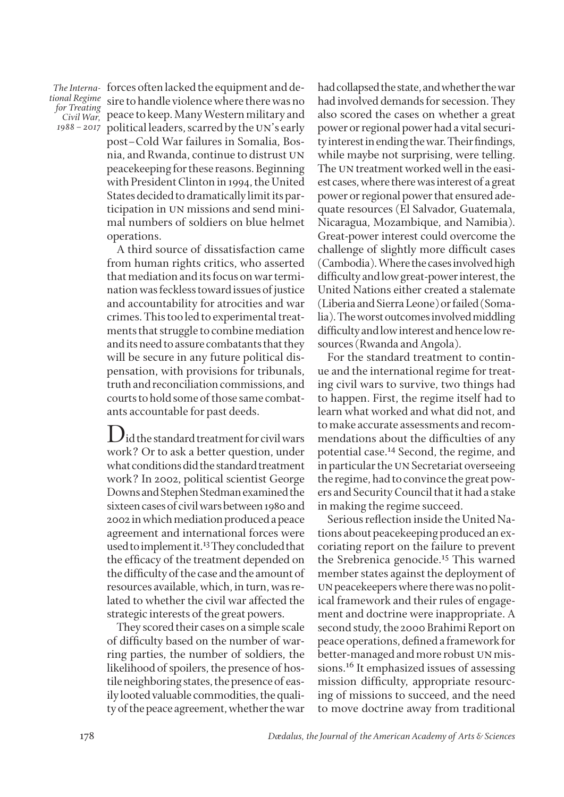*tional Regime for Treating Civil War, 1988–2017*

*The Interna-*forces often lacked the equipment and desire to handle violence where there was no peace to keep. Many Western military and political leaders, scarred by the un's early post–Cold War failures in Somalia, Bosnia, and Rwanda, continue to distrust un peacekeeping for these reasons. Beginning with President Clinton in 1994, the United States decided to dramatically limit its participation in un missions and send minimal numbers of soldiers on blue helmet operations.

> A third source of dissatisfaction came from human rights critics, who asserted that mediation and its focus on war termination was feckless toward issues of justice and accountability for atrocities and war crimes. This too led to experimental treatments that struggle to combine mediation and its need to assure combatants that they will be secure in any future political dispensation, with provisions for tribunals, truth and reconciliation commissions, and courts to hold some of those same combatants accountable for past deeds.

> $\mathbf D$  id the standard treatment for civil wars work? Or to ask a better question, under what conditions did the standard treatment work? In 2002, political scientist George Downs and Stephen Stedman examined the sixteen cases of civil wars between 1980 and 2002 in which mediation produced a peace agreement and international forces were used to implement it.<sup>13</sup> They concluded that the efficacy of the treatment depended on the difficulty of the case and the amount of resources available, which, in turn, was related to whether the civil war affected the strategic interests of the great powers.

> They scored their cases on a simple scale of difficulty based on the number of warring parties, the number of soldiers, the likelihood of spoilers, the presence of hostile neighboring states, the presence of easily looted valuable commodities, the quality of the peace agreement, whether the war

had collapsed the state, and whether the war had involved demands for secession. They also scored the cases on whether a great power or regional power had a vital security interest in ending the war. Their findings, while maybe not surprising, were telling. The UN treatment worked well in the easiest cases, where there was interest of a great power or regional power that ensured adequate resources (El Salvador, Guatemala, Nicaragua, Mozambique, and Namibia). Great-power interest could overcome the challenge of slightly more difficult cases (Cambodia). Where the cases involved high difficulty and low great-power interest, the United Nations either created a stalemate (Liberia and Sierra Leone) or failed (Somalia). The worst outcomes involved middling difficulty and low interest and hence low resources (Rwanda and Angola).

For the standard treatment to continue and the international regime for treating civil wars to survive, two things had to happen. First, the regime itself had to learn what worked and what did not, and to make accurate assessments and recommendations about the difficulties of any potential case.14 Second, the regime, and in particular the un Secretariat overseeing the regime, had to convince the great powers and Security Council that it had a stake in making the regime succeed.

Serious reflection inside the United Nations about peacekeeping produced an excoriating report on the failure to prevent the Srebrenica genocide.15 This warned member states against the deployment of un peacekeepers where there was no political framework and their rules of engagement and doctrine were inappropriate. A second study, the 2000 Brahimi Report on peace operations, defined a framework for better-managed and more robust un missions.16 It emphasized issues of assessing mission difficulty, appropriate resourcing of missions to succeed, and the need to move doctrine away from traditional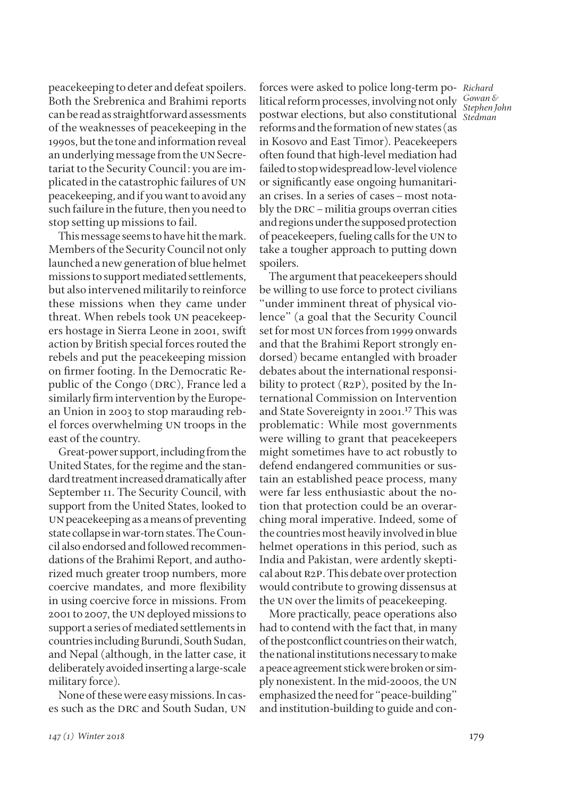peacekeeping to deter and defeat spoilers. Both the Srebrenica and Brahimi reports can be read as straightforward assessments of the weaknesses of peacekeeping in the 1990s, but the tone and information reveal an underlying message from the un Secretariat to the Security Council: you are implicated in the catastrophic failures of un peacekeeping, and if you want to avoid any such failure in the future, then you need to stop setting up missions to fail.

This message seems to have hit the mark. Members of the Security Council not only launched a new generation of blue helmet missions to support mediated settlements, but also intervened militarily to reinforce these missions when they came under threat. When rebels took un peacekeepers hostage in Sierra Leone in 2001, swift action by British special forces routed the rebels and put the peacekeeping mission on firmer footing. In the Democratic Republic of the Congo (DRC), France led a similarly firm intervention by the European Union in 2003 to stop marauding rebel forces overwhelming un troops in the east of the country.

Great-power support, including from the United States, for the regime and the standard treatment increased dramatically after September 11. The Security Council, with support from the United States, looked to un peacekeeping as a means of preventing state collapse in war-torn states. The Council also endorsed and followed recommendations of the Brahimi Report, and authorized much greater troop numbers, more coercive mandates, and more flexibility in using coercive force in missions. From 2001 to 2007, the un deployed missions to support a series of mediated settlements in countries including Burundi, South Sudan, and Nepal (although, in the latter case, it deliberately avoided inserting a large-scale military force).

None of these were easy missions. In cases such as the DRC and South Sudan, UN

forces were asked to police long-term po- Richard litical reform processes, involving not only *Gowan & Stedman* postwar elections, but also constitutional reforms and the formation of new states (as in Kosovo and East Timor). Peacekeepers often found that high-level mediation had failed to stop widespread low-level violence or significantly ease ongoing humanitarian crises. In a series of cases–most notably the DRC – militia groups overran cities and regions under the supposed protection of peacekeepers, fueling calls for the un to take a tougher approach to putting down spoilers.

The argument that peacekeepers should be willing to use force to protect civilians "under imminent threat of physical violence" (a goal that the Security Council set for most un forces from 1999 onwards and that the Brahimi Report strongly endorsed) became entangled with broader debates about the international responsibility to protect  $(R2P)$ , posited by the International Commission on Intervention and State Sovereignty in 2001.17 This was problematic: While most governments were willing to grant that peacekeepers might sometimes have to act robustly to defend endangered communities or sustain an established peace process, many were far less enthusiastic about the notion that protection could be an overarching moral imperative. Indeed, some of the countries most heavily involved in blue helmet operations in this period, such as India and Pakistan, were ardently skeptical about R2P. This debate over protection would contribute to growing dissensus at the un over the limits of peacekeeping.

More practically, peace operations also had to contend with the fact that, in many of the postconflict countries on their watch, the national institutions necessary to make a peace agreement stick were broken or simply nonexistent. In the mid-2000s, the un emphasized the need for "peace-building" and institution-building to guide and con-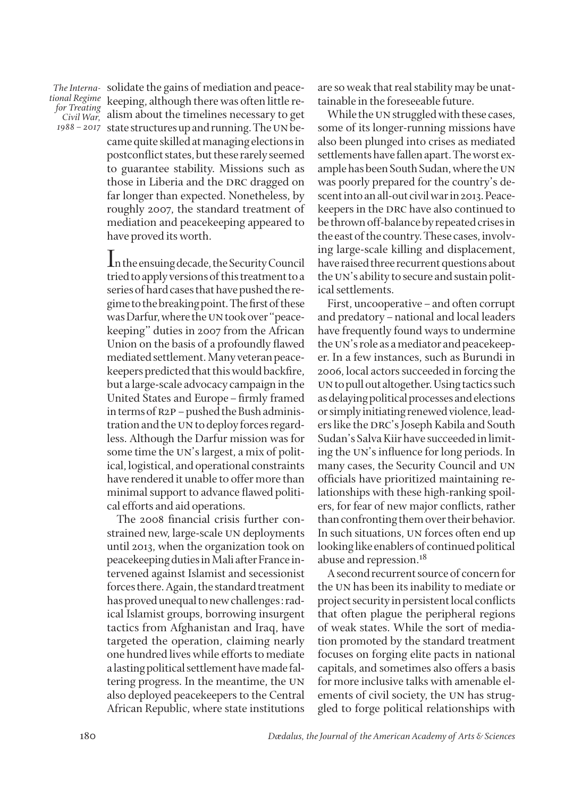*tional Regime for Treating Civil War, 1988–2017*

*The Interna-*solidate the gains of mediation and peacekeeping, although there was often little realism about the timelines necessary to get state structures up and running. The un became quite skilled at managing elections in postconflict states, but these rarely seemed to guarantee stability. Missions such as those in Liberia and the DRC dragged on far longer than expected. Nonetheless, by roughly 2007, the standard treatment of mediation and peacekeeping appeared to have proved its worth.

> In the ensuing decade, the Security Council tried to apply versions of this treatment to a series of hard cases that have pushed the regime to the breaking point. The first of these was Darfur, where the un took over "peacekeeping" duties in 2007 from the African Union on the basis of a profoundly flawed mediated settlement. Many veteran peacekeepers predicted that this would backfire, but a large-scale advocacy campaign in the United States and Europe–firmly framed in terms of R2P – pushed the Bush administration and the un to deploy forces regardless. Although the Darfur mission was for some time the un's largest, a mix of political, logistical, and operational constraints have rendered it unable to offer more than minimal support to advance flawed political efforts and aid operations.

> The 2008 financial crisis further constrained new, large-scale un deployments until 2013, when the organization took on peacekeeping duties in Mali after France intervened against Islamist and secessionist forces there. Again, the standard treatment has proved unequal to new challenges: radical Islamist groups, borrowing insurgent tactics from Afghanistan and Iraq, have targeted the operation, claiming nearly one hundred lives while efforts to mediate a lasting political settlement have made faltering progress. In the meantime, the un also deployed peacekeepers to the Central African Republic, where state institutions

are so weak that real stability may be unattainable in the foreseeable future.

While the UN struggled with these cases, some of its longer-running missions have also been plunged into crises as mediated settlements have fallen apart. The worst example has been South Sudan, where the un was poorly prepared for the country's descent into an all-out civil war in 2013. Peacekeepers in the DRC have also continued to be thrown off-balance by repeated crises in the east of the country. These cases, involving large-scale killing and displacement, have raised three recurrent questions about the un's ability to secure and sustain political settlements.

First, uncooperative–and often corrupt and predatory–national and local leaders have frequently found ways to undermine the un's role as a mediator and peacekeeper. In a few instances, such as Burundi in 2006, local actors succeeded in forcing the un to pull out altogether. Using tactics such as delaying political processes and elections or simply initiating renewed violence, leaders like the DRC's Joseph Kabila and South Sudan's Salva Kiir have succeeded in limiting the un's influence for long periods. In many cases, the Security Council and un officials have prioritized maintaining relationships with these high-ranking spoilers, for fear of new major conflicts, rather than confronting them over their behavior. In such situations, un forces often end up looking like enablers of continued political abuse and repression.<sup>18</sup>

A second recurrent source of concern for the un has been its inability to mediate or project security in persistent local conflicts that often plague the peripheral regions of weak states. While the sort of mediation promoted by the standard treatment focuses on forging elite pacts in national capitals, and sometimes also offers a basis for more inclusive talks with amenable elements of civil society, the un has struggled to forge political relationships with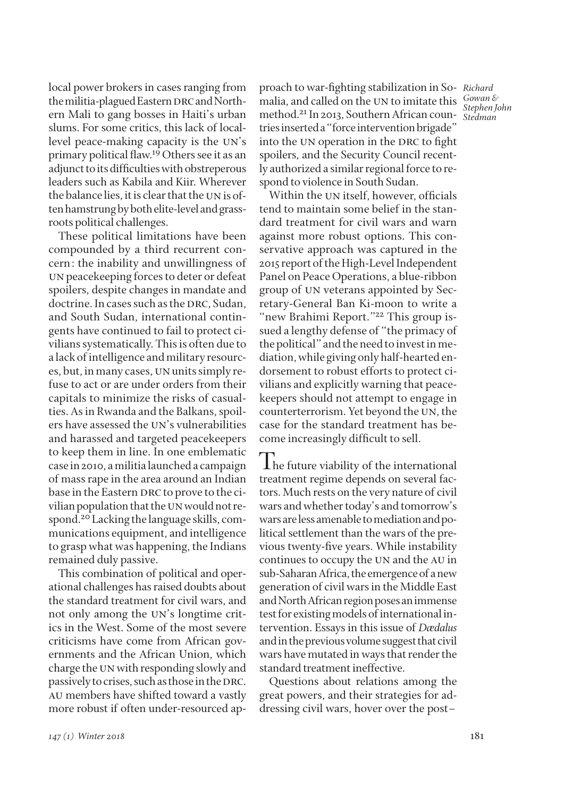local power brokers in cases ranging from the militia-plagued Eastern DRC and Northern Mali to gang bosses in Haiti's urban slums. For some critics, this lack of locallevel peace-making capacity is the un's primary political flaw.19 Others see it as an adjunct to its difficulties with obstreperous leaders such as Kabila and Kiir. Wherever the balance lies, it is clear that the un is often hamstrung by both elite-level and grassroots political challenges.

These political limitations have been compounded by a third recurrent concern: the inability and unwillingness of un peacekeeping forces to deter or defeat spoilers, despite changes in mandate and doctrine. In cases such as the DRC, Sudan, and South Sudan, international contingents have continued to fail to protect civilians systematically. This is often due to a lack of intelligence and military resources, but, in many cases, un units simply refuse to act or are under orders from their capitals to minimize the risks of casualties. As in Rwanda and the Balkans, spoilers have assessed the un's vulnerabilities and harassed and targeted peacekeepers to keep them in line. In one emblematic case in 2010, a militia launched a campaign of mass rape in the area around an Indian base in the Eastern DRC to prove to the civilian population that the un would not respond.20 Lacking the language skills, communications equipment, and intelligence to grasp what was happening, the Indians remained duly passive.

This combination of political and operational challenges has raised doubts about the standard treatment for civil wars, and not only among the un's longtime critics in the West. Some of the most severe criticisms have come from African governments and the African Union, which charge the un with responding slowly and passively to crises, such as those in the DRC. au members have shifted toward a vastly more robust if often under-resourced ap-

proach to war-fighting stabilization in So- Richard malia, and called on the UN to imitate this *Gowan & Stedman* method.21 In 2013, Southern African countries inserted a "force intervention brigade" into the UN operation in the DRC to fight spoilers, and the Security Council recently authorized a similar regional force to respond to violence in South Sudan.

Within the un itself, however, officials tend to maintain some belief in the standard treatment for civil wars and warn against more robust options. This conservative approach was captured in the 2015 report of the High-Level Independent Panel on Peace Operations, a blue-ribbon group of un veterans appointed by Secretary-General Ban Ki-moon to write a "new Brahimi Report."<sup>22</sup> This group issued a lengthy defense of "the primacy of the political" and the need to invest in mediation, while giving only half-hearted endorsement to robust efforts to protect civilians and explicitly warning that peacekeepers should not attempt to engage in counterterrorism. Yet beyond the un, the case for the standard treatment has become increasingly difficult to sell.

 $\mathbf I$  he future viability of the international treatment regime depends on several factors. Much rests on the very nature of civil wars and whether today's and tomorrow's wars are less amenable to mediation and political settlement than the wars of the previous twenty-five years. While instability continues to occupy the UN and the AU in sub-Saharan Africa, the emergence of a new generation of civil wars in the Middle East and North African region poses an immense test for existing models of international intervention. Essays in this issue of *Dædalus* and in the previous volume suggest that civil wars have mutated in ways that render the standard treatment ineffective.

Questions about relations among the great powers, and their strategies for addressing civil wars, hover over the post–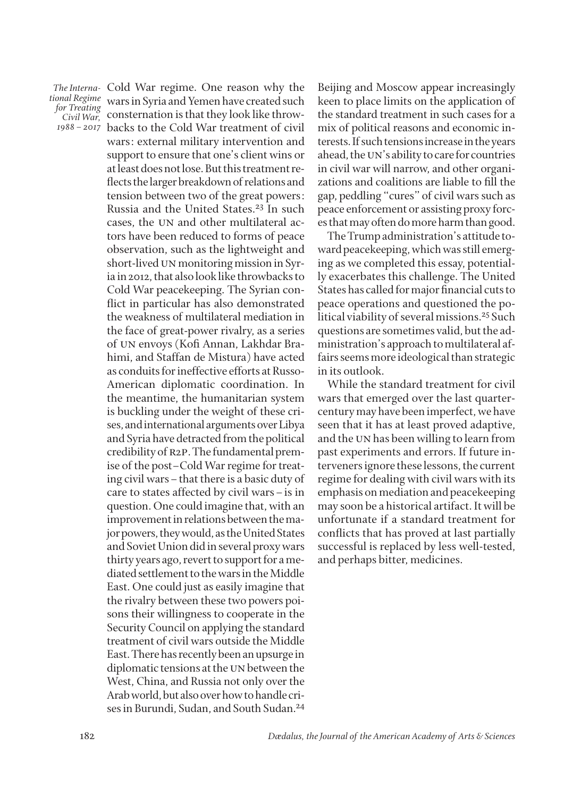*tional Regime for Treating Civil War,* 

*The Interna-*Cold War regime. One reason why the *1988–2017* backs to the Cold War treatment of civil wars in Syria and Yemen have created such consternation is that they look like throwwars: external military intervention and support to ensure that one's client wins or at least does not lose. But this treatment reflects the larger breakdown of relations and tension between two of the great powers: Russia and the United States.23 In such cases, the un and other multilateral actors have been reduced to forms of peace observation, such as the lightweight and short-lived un monitoring mission in Syria in 2012, that also look like throwbacks to Cold War peacekeeping. The Syrian conflict in particular has also demonstrated the weakness of multilateral mediation in the face of great-power rivalry, as a series of un envoys (Kofi Annan, Lakhdar Brahimi, and Staffan de Mistura) have acted as conduits for ineffective efforts at Russo-American diplomatic coordination. In the meantime, the humanitarian system is buckling under the weight of these crises, and international arguments over Libya and Syria have detracted from the political credibility of r2p. The fundamental premise of the post–Cold War regime for treating civil wars–that there is a basic duty of care to states affected by civil wars–is in question. One could imagine that, with an improvement in relations between the major powers, they would, as the United States and Soviet Union did in several proxy wars thirty years ago, revert to support for a mediated settlement to the wars in the Middle East. One could just as easily imagine that the rivalry between these two powers poisons their willingness to cooperate in the Security Council on applying the standard treatment of civil wars outside the Middle East. There has recently been an upsurge in diplomatic tensions at the un between the West, China, and Russia not only over the Arab world, but also over how to handle crises in Burundi, Sudan, and South Sudan.<sup>24</sup>

Beijing and Moscow appear increasingly keen to place limits on the application of the standard treatment in such cases for a mix of political reasons and economic interests. If such tensions increase in the years ahead, the un's ability to care for countries in civil war will narrow, and other organizations and coalitions are liable to fill the gap, peddling "cures" of civil wars such as peace enforcement or assisting proxy forces that may often do more harm than good.

The Trump administration's attitude toward peacekeeping, which was still emerging as we completed this essay, potentially exacerbates this challenge. The United States has called for major financial cuts to peace operations and questioned the political viability of several missions.<sup>25</sup> Such questions are sometimes valid, but the administration's approach to multilateral affairs seems more ideological than strategic in its outlook.

While the standard treatment for civil wars that emerged over the last quartercentury may have been imperfect, we have seen that it has at least proved adaptive, and the un has been willing to learn from past experiments and errors. If future interveners ignore these lessons, the current regime for dealing with civil wars with its emphasis on mediation and peacekeeping may soon be a historical artifact. It will be unfortunate if a standard treatment for conflicts that has proved at last partially successful is replaced by less well-tested, and perhaps bitter, medicines.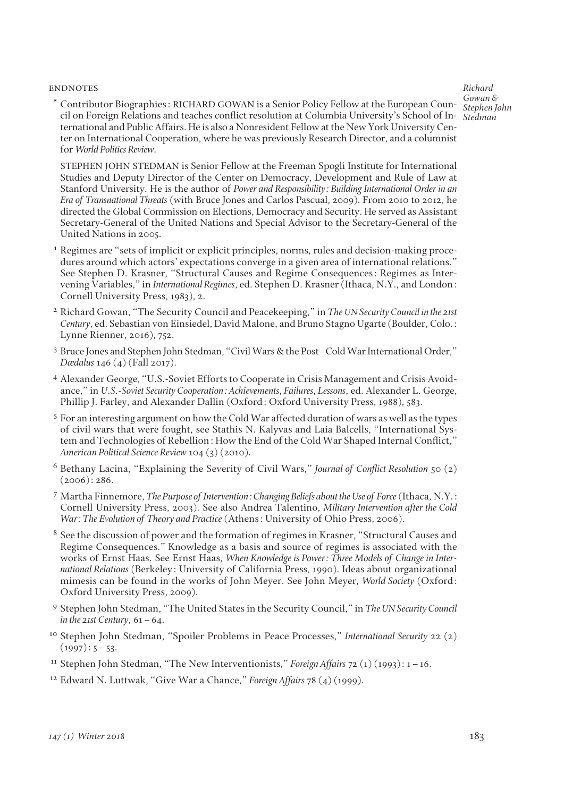## **ENDNOTES**

*Richard Gowan & Stephen John* 

*Stedman* cil on Foreign Relations and teaches conflict resolution at Columbia University's School of In-Contributor Biographies: RICHARD GOWAN is a Senior Policy Fellow at the European Counternational and Public Affairs. He is also a Nonresident Fellow at the New York University Center on International Cooperation, where he was previously Research Director, and a columnist for *World Politics Review*.

 STEPHEN JOHN STEDMAN is Senior Fellow at the Freeman Spogli Institute for International Studies and Deputy Director of the Center on Democracy, Development and Rule of Law at Stanford University. He is the author of *Power and Responsibility: Building International Order in an Era of Transnational Threats* (with Bruce Jones and Carlos Pascual, 2009). From 2010 to 2012, he directed the Global Commission on Elections, Democracy and Security. He served as Assistant Secretary-General of the United Nations and Special Advisor to the Secretary-General of the United Nations in 2005.

- $<sup>1</sup>$  Regimes are "sets of implicit or explicit principles, norms, rules and decision-making proce-</sup> dures around which actors' expectations converge in a given area of international relations." See Stephen D. Krasner, "Structural Causes and Regime Consequences: Regimes as Intervening Variables," in *International Regimes*, ed. Stephen D. Krasner (Ithaca, N.Y., and London: Cornell University Press, 1983), 2.
- <sup>2</sup> Richard Gowan, "The Security Council and Peacekeeping," in *The UN Security Council in the 21st Century*, ed. Sebastian von Einsiedel, David Malone, and Bruno Stagno Ugarte (Boulder, Colo.: Lynne Rienner, 2016), 752.
- <sup>3</sup> Bruce Jones and Stephen John Stedman, "Civil Wars & the Post–Cold War International Order," *Dædalus* 146 (4) (Fall 2017).
- <sup>4</sup> Alexander George, "U.S.-Soviet Efforts to Cooperate in Crisis Management and Crisis Avoidance," in *U.S.-Soviet Security Cooperation: Achievements, Failures, Lessons*, ed. Alexander L. George, Phillip J. Farley, and Alexander Dallin (Oxford: Oxford University Press, 1988), 583.
- <sup>5</sup> For an interesting argument on how the Cold War affected duration of wars as well as the types of civil wars that were fought, see Stathis N. Kalyvas and Laia Balcells, "International System and Technologies of Rebellion: How the End of the Cold War Shaped Internal Conflict," *American Political Science Review* 104 (3) (2010).
- <sup>6</sup> Bethany Lacina, "Explaining the Severity of Civil Wars," *Journal of Conflict Resolution* 50 (2)  $(2006): 286.$
- <sup>7</sup> Martha Finnemore, *The Purpose of Intervention: Changing Beliefs about the Use of Force* (Ithaca, N.Y.: Cornell University Press, 2003). See also Andrea Talentino, *Military Intervention after the Cold War: The Evolution of Theory and Practice* (Athens: University of Ohio Press, 2006).
- <sup>8</sup> See the discussion of power and the formation of regimes in Krasner, "Structural Causes and Regime Consequences." Knowledge as a basis and source of regimes is associated with the works of Ernst Haas. See Ernst Haas, *When Knowledge is Power: Three Models of Change in International Relations* (Berkeley: University of California Press, 1990). Ideas about organizational mimesis can be found in the works of John Meyer. See John Meyer, *World Society* (Oxford: Oxford University Press, 2009).
- <sup>9</sup> Stephen John Stedman, "The United States in the Security Council," in *The UN Security Council in the 21st Century*, 61–64.
- <sup>10</sup> Stephen John Stedman, "Spoiler Problems in Peace Processes," *International Security* 22 (2)  $(1997): 5-53.$
- <sup>11</sup> Stephen John Stedman, "The New Interventionists," *Foreign Affairs* 72 (1) (1993): 1–16.
- <sup>12</sup> Edward N. Luttwak, "Give War a Chance," *Foreign Affairs* 78 (4) (1999).